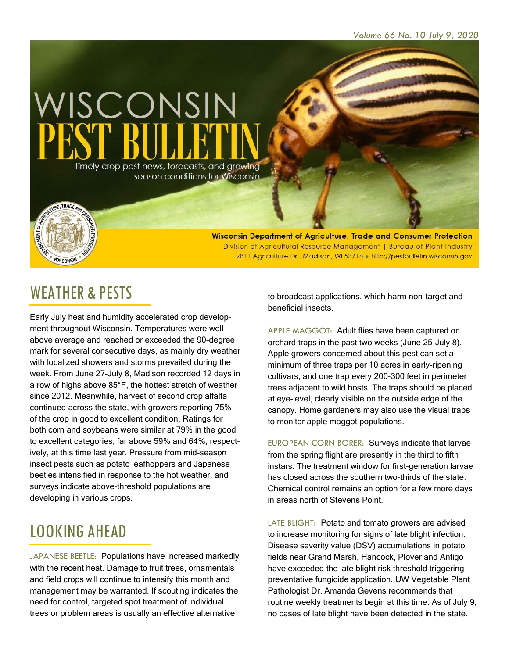

Wisconsin Department of Agriculture, Trade and Consumer Protection Division of Agricultural Resource Management | Bureau of Plant Industry 2811 Agriculture Dr., Madison, WI 53718 . http://pestbulletin.wisconsin.gov

#### WEATHER & PESTS

WISCONSIN

Early July heat and humidity accelerated crop development throughout Wisconsin. Temperatures were well above average and reached or exceeded the 90-degree mark for several consecutive days, as mainly dry weather with localized showers and storms prevailed during the week. From June 27-July 8, Madison recorded 12 days in a row of highs above 85°F, the hottest stretch of weather since 2012. Meanwhile, harvest of second crop alfalfa continued across the state, with growers reporting 75% of the crop in good to excellent condition. Ratings for both corn and soybeans were similar at 79% in the good to excellent categories, far above 59% and 64%, respectively, at this time last year. Pressure from mid-season insect pests such as potato leafhoppers and Japanese beetles intensified in response to the hot weather, and surveys indicate above-threshold populations are developing in various crops.

# LOOKING AHEAD

JAPANESE BEETLE: Populations have increased markedly with the recent heat. Damage to fruit trees, ornamentals and field crops will continue to intensify this month and management may be warranted. If scouting indicates the need for control, targeted spot treatment of individual trees or problem areas is usually an effective alternative

to broadcast applications, which harm non-target and beneficial insects.

APPLE MAGGOT: Adult flies have been captured on orchard traps in the past two weeks (June 25-July 8). Apple growers concerned about this pest can set a minimum of three traps per 10 acres in early-ripening cultivars, and one trap every 200-300 feet in perimeter trees adjacent to wild hosts. The traps should be placed at eye-level, clearly visible on the outside edge of the canopy. Home gardeners may also use the visual traps to monitor apple maggot populations.

EUROPEAN CORN BORER: Surveys indicate that larvae from the spring flight are presently in the third to fifth instars. The treatment window for first-generation larvae has closed across the southern two-thirds of the state. Chemical control remains an option for a few more days in areas north of Stevens Point.

LATE BLIGHT: Potato and tomato growers are advised to increase monitoring for signs of late blight infection. Disease severity value (DSV) accumulations in potato fields near Grand Marsh, Hancock, Plover and Antigo have exceeded the late blight risk threshold triggering preventative fungicide application. UW Vegetable Plant Pathologist Dr. Amanda Gevens recommends that routine weekly treatments begin at this time. As of July 9, no cases of late blight have been detected in the state.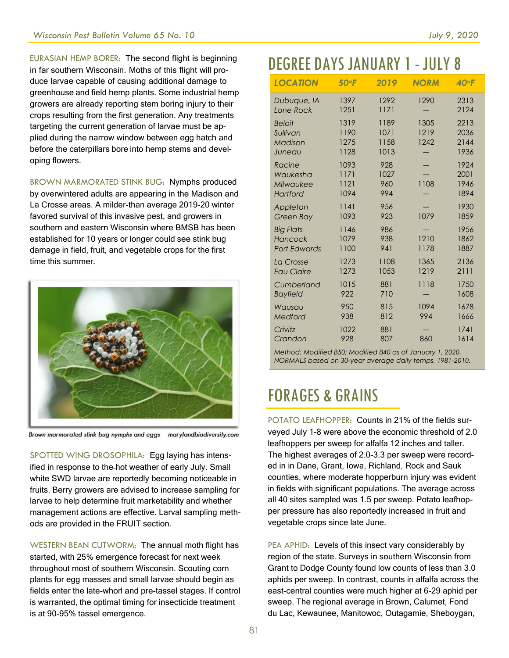EURASIAN HEMP BORER: The second flight is beginning in far southern Wisconsin. Moths of this flight will produce larvae capable of causing additional damage to greenhouse and field hemp plants. Some industrial hemp growers are already reporting stem boring injury to their crops resulting from the first generation. Any treatments targeting the current generation of larvae must be applied during the narrow window between egg hatch and before the caterpillars bore into hemp stems and developing flowers.

BROWN MARMORATED STINK BUG: Nymphs produced by overwintered adults are appearing in the Madison and La Crosse areas. A milder-than average 2019-20 winter favored survival of this invasive pest, and growers in southern and eastern Wisconsin where BMSB has been established for 10 years or longer could see stink bug damage in field, fruit, and vegetable crops for the first time this summer.



Brown marmorated stink bug nymphs and eggs marylandbiodiversity.com

SPOTTED WING DROSOPHILA: Egg laying has intensified in response to the hot weather of early July. Small white SWD larvae are reportedly becoming noticeable in fruits. Berry growers are advised to increase sampling for larvae to help determine fruit marketability and whether management actions are effective. Larval sampling methods are provided in the FRUIT section.

WESTERN BEAN CUTWORM: The annual moth flight has started, with 25% emergence forecast for next week throughout most of southern Wisconsin. Scouting corn plants for egg masses and small larvae should begin as fields enter the late-whorl and pre-tassel stages. If control is warranted, the optimal timing for insecticide treatment is at 90-95% tassel emergence.

## DEGREE DAYSJANUARY 1- JULY 8

| <b>LOCATION</b>                                    | 50°F                         | 2019                         | <b>NORM</b>          | $40^{\circ}$ F               |
|----------------------------------------------------|------------------------------|------------------------------|----------------------|------------------------------|
| Dubuque, IA                                        | 1397                         | 1292                         | 1290                 | 2313                         |
| Lone Rock                                          | 1251                         | 1171                         |                      | 2124                         |
| <b>Beloit</b><br>Sullivan<br>Madison<br>Juneau     | 1319<br>1190<br>1275<br>1128 | 1189<br>1071<br>1158<br>1013 | 1305<br>1219<br>1242 | 2213<br>2036<br>2144<br>1936 |
| Racine                                             | 1093                         | 928                          | 1108                 | 1924                         |
| Waukesha                                           | 1171                         | 1027                         |                      | 2001                         |
| Milwaukee                                          | 1121                         | 960                          |                      | 1946                         |
| Hartford                                           | 1094                         | 994                          |                      | 1894                         |
| Appleton                                           | 1141                         | 956                          | 1079                 | 1930                         |
| <b>Green Bay</b>                                   | 1093                         | 923                          |                      | 1859                         |
| <b>Big Flats</b><br>Hancock<br><b>Port Edwards</b> | 1146<br>1079<br>1100         | 986<br>938<br>941            | 1210<br>1178         | 1956<br>1862<br>1887         |
| La Crosse                                          | 1273                         | 1108                         | 1365                 | 2136                         |
| <b>Eau Claire</b>                                  | 1273                         | 1053                         | 1219                 | 2111                         |
| Cumberland                                         | 1015                         | 881                          | 1118                 | 1750                         |
| <b>Bayfield</b>                                    | 922                          | 710                          |                      | 1608                         |
| Wausau                                             | 950                          | 815                          | 1094                 | 1678                         |
| Medford                                            | 938                          | 812                          | 994                  | 1666                         |
| Crivitz                                            | 1022                         | 881                          | 860                  | 1741                         |
| Crandon                                            | 928                          | 807                          |                      | 1614                         |

*Method: Modified B50; Modified B40 as of January 1, 2020. NORMALS based on 30-year average daily temps, 1981-2010.*

#### FORAGES & GRAINS

POTATO LEAFHOPPER: Counts in 21% of the fields surveyed July 1-8 were above the economic threshold of 2.0 leafhoppers per sweep for alfalfa 12 inches and taller. The highest averages of 2.0-3.3 per sweep were recorded in in Dane, Grant, Iowa, Richland, Rock and Sauk counties, where moderate hopperburn injury was evident in fields with significant populations. The average across all 40 sites sampled was 1.5 per sweep. Potato leafhopper pressure has also reportedly increased in fruit and vegetable crops since late June.

PEA APHID: Levels of this insect vary considerably by region of the state. Surveys in southern Wisconsin from Grant to Dodge County found low counts of less than 3.0 aphids per sweep. In contrast, counts in alfalfa across the east-central counties were much higher at 6-29 aphid per sweep. The regional average in Brown, Calumet, Fond du Lac, Kewaunee, Manitowoc, Outagamie, Sheboygan,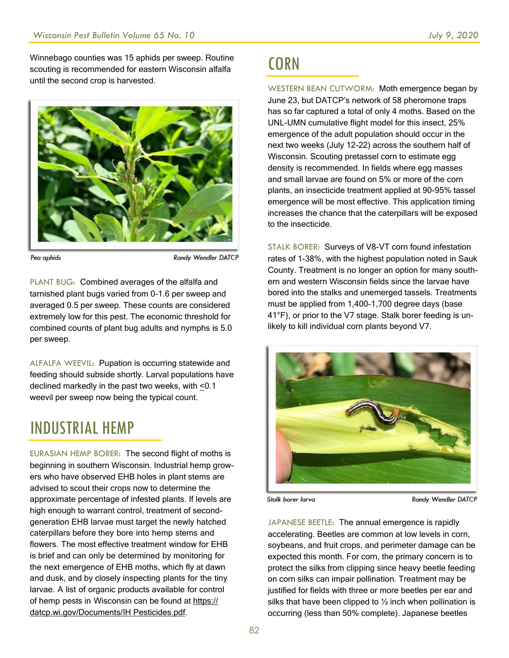Winnebago counties was 15 aphids per sweep. Routine scouting is recommended for eastern Wisconsin alfalfa until the second crop is harvested.



Pea aphids

Randy Wendler DATCP

PLANT BUG: Combined averages of the alfalfa and tarnished plant bugs varied from 0-1.6 per sweep and averaged 0.5 per sweep. These counts are considered extremely low for this pest. The economic threshold for combined counts of plant bug adults and nymphs is 5.0 per sweep.

ALFALFA WEEVIL: Pupation is occurring statewide and feeding should subside shortly. Larval populations have declined markedly in the past two weeks, with <0.1 weevil per sweep now being the typical count.

#### INDUSTRIAL HEMP

EURASIAN HEMP BORER: The second flight of moths is beginning in southern Wisconsin. Industrial hemp growers who have observed EHB holes in plant stems are advised to scout their crops now to determine the approximate percentage of infested plants. If levels are high enough to warrant control, treatment of secondgeneration EHB larvae must target the newly hatched caterpillars before they bore into hemp stems and flowers. The most effective treatment window for EHB is brief and can only be determined by monitoring for the next emergence of EHB moths, which fly at dawn and dusk, and by closely inspecting plants for the tiny larvae. A list of organic products available for control of hemp pests in Wisconsin can be found at https:// datcp.wi.gov/Documents/IH Pesticides.pdf.

#### **CORN**

WESTERN BEAN CUTWORM: Moth emergence began by June 23, but DATCP's network of 58 pheromone traps has so far captured a total of only 4 moths. Based on the UNL-UMN cumulative flight model for this insect, 25% emergence of the adult population should occur in the next two weeks (July 12-22) across the southern half of Wisconsin. Scouting pretassel corn to estimate egg density is recommended. In fields where egg masses and small larvae are found on 5% or more of the corn plants, an insecticide treatment applied at 90-95% tassel emergence will be most effective. This application timing increases the chance that the caterpillars will be exposed to the insecticide.

STALK BORER: Surveys of V8-VT corn found infestation rates of 1-38%, with the highest population noted in Sauk County. Treatment is no longer an option for many southern and western Wisconsin fields since the larvae have bored into the stalks and unemerged tassels. Treatments must be applied from 1,400-1,700 degree days (base 41°F), or prior to the V7 stage. Stalk borer feeding is unlikely to kill individual corn plants beyond V7.



Stalk borer larva

Randy Wendler DATCP

JAPANESE BEETLE: The annual emergence is rapidly accelerating. Beetles are common at low levels in corn, soybeans, and fruit crops, and perimeter damage can be expected this month. For corn, the primary concern is to protect the silks from clipping since heavy beetle feeding on corn silks can impair pollination. Treatment may be justified for fields with three or more beetles per ear and silks that have been clipped to  $\frac{1}{2}$  inch when pollination is occurring (less than 50% complete). Japanese beetles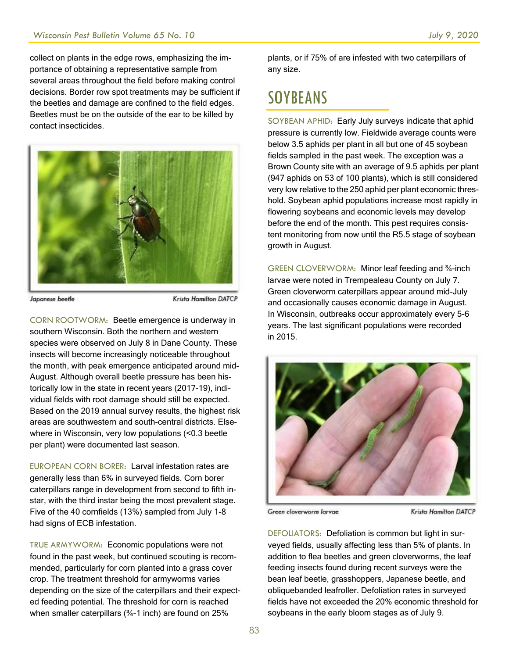collect on plants in the edge rows, emphasizing the importance of obtaining a representative sample from several areas throughout the field before making control decisions. Border row spot treatments may be sufficient if the beetles and damage are confined to the field edges. Beetles must be on the outside of the ear to be killed by contact insecticides.



Japanese beetle

**Krista Hamilton DATCP** 

CORN ROOTWORM: Beetle emergence is underway in southern Wisconsin. Both the northern and western species were observed on July 8 in Dane County. These insects will become increasingly noticeable throughout the month, with peak emergence anticipated around mid-August. Although overall beetle pressure has been historically low in the state in recent years (2017-19), individual fields with root damage should still be expected. Based on the 2019 annual survey results, the highest risk areas are southwestern and south-central districts. Elsewhere in Wisconsin, very low populations (<0.3 beetle per plant) were documented last season.

EUROPEAN CORN BORER: Larval infestation rates are generally less than 6% in surveyed fields. Corn borer caterpillars range in development from second to fifth instar, with the third instar being the most prevalent stage. Five of the 40 cornfields (13%) sampled from July 1-8 had signs of ECB infestation.

TRUE ARMYWORM: Economic populations were not found in the past week, but continued scouting is recommended, particularly for corn planted into a grass cover crop. The treatment threshold for armyworms varies depending on the size of the caterpillars and their expected feeding potential. The threshold for corn is reached when smaller caterpillars (3/4-1 inch) are found on 25%

plants, or if 75% of are infested with two caterpillars of any size.

### SOYBEANS

SOYBEAN APHID: Early July surveys indicate that aphid pressure is currently low. Fieldwide average counts were below 3.5 aphids per plant in all but one of 45 soybean fields sampled in the past week. The exception was a Brown County site with an average of 9.5 aphids per plant (947 aphids on 53 of 100 plants), which is still considered very low relative to the 250 aphid per plant economic threshold. Soybean aphid populations increase most rapidly in flowering soybeans and economic levels may develop before the end of the month. This pest requires consistent monitoring from now until the R5.5 stage of soybean growth in August.

GREEN CLOVERWORM: Minor leaf feeding and ¾-inch larvae were noted in Trempealeau County on July 7. Green cloverworm caterpillars appear around mid-July and occasionally causes economic damage in August. In Wisconsin, outbreaks occur approximately every 5-6 years. The last significant populations were recorded in 2015.



Green cloverworm larvae

**Krista Hamilton DATCP** 

DEFOLIATORS: Defoliation is common but light in surveyed fields, usually affecting less than 5% of plants. In addition to flea beetles and green cloverworms, the leaf feeding insects found during recent surveys were the bean leaf beetle, grasshoppers, Japanese beetle, and obliquebanded leafroller. Defoliation rates in surveyed fields have not exceeded the 20% economic threshold for soybeans in the early bloom stages as of July 9.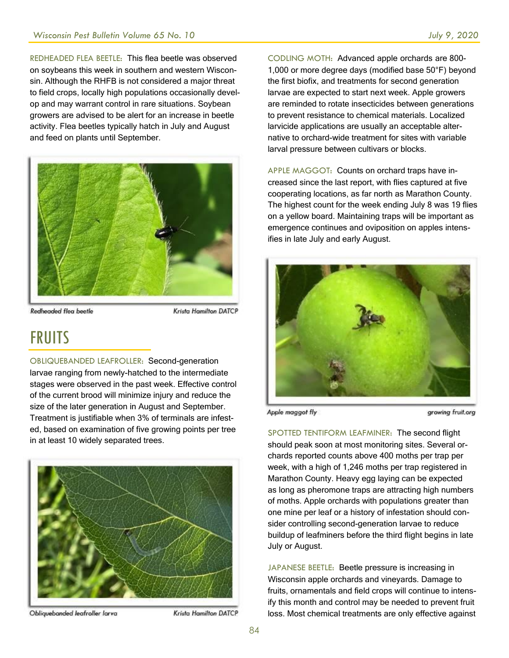REDHEADED FLEA BEETLE: This flea beetle was observed on soybeans this week in southern and western Wisconsin. Although the RHFB is not considered a major threat to field crops, locally high populations occasionally develop and may warrant control in rare situations. Soybean growers are advised to be alert for an increase in beetle activity. Flea beetles typically hatch in July and August and feed on plants until September.



Redheaded flea beetle

Krista Hamilton DATCP

#### FRUITS

OBLIQUEBANDED LEAFROLLER: Second-generation larvae ranging from newly-hatched to the intermediate stages were observed in the past week. Effective control of the current brood will minimize injury and reduce the size of the later generation in August and September. Treatment is justifiable when 3% of terminals are infested, based on examination of five growing points per tree in at least 10 widely separated trees.



Obliquebanded leafroller larva

Krista Hamilton DATCP

CODLING MOTH: Advanced apple orchards are 800- 1,000 or more degree days (modified base 50°F) beyond the first biofix, and treatments for second generation larvae are expected to start next week. Apple growers are reminded to rotate insecticides between generations to prevent resistance to chemical materials. Localized larvicide applications are usually an acceptable alternative to orchard-wide treatment for sites with variable larval pressure between cultivars or blocks.

APPLE MAGGOT: Counts on orchard traps have increased since the last report, with flies captured at five cooperating locations, as far north as Marathon County. The highest count for the week ending July 8 was 19 flies on a yellow board. Maintaining traps will be important as emergence continues and oviposition on apples intensifies in late July and early August.



Apple maggot fly

growing fruit.org

SPOTTED TENTIFORM LEAFMINER: The second flight should peak soon at most monitoring sites. Several orchards reported counts above 400 moths per trap per week, with a high of 1,246 moths per trap registered in Marathon County. Heavy egg laying can be expected as long as pheromone traps are attracting high numbers of moths. Apple orchards with populations greater than one mine per leaf or a history of infestation should consider controlling second-generation larvae to reduce buildup of leafminers before the third flight begins in late July or August.

JAPANESE BEETLE: Beetle pressure is increasing in Wisconsin apple orchards and vineyards. Damage to fruits, ornamentals and field crops will continue to intensify this month and control may be needed to prevent fruit loss. Most chemical treatments are only effective against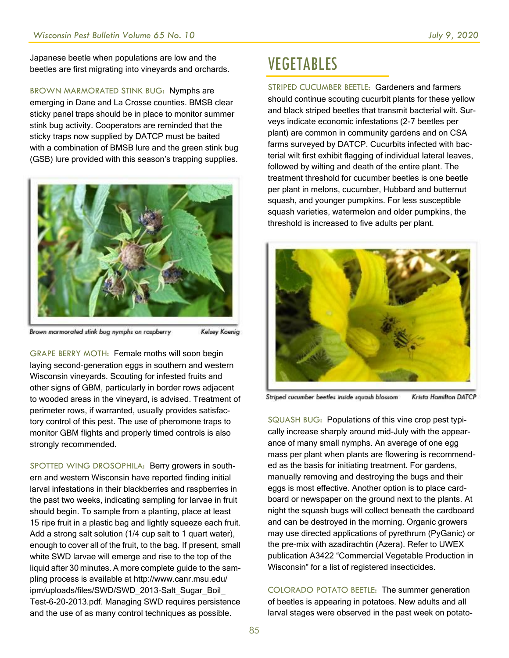Japanese beetle when populations are low and the beetles are first migrating into vineyards and orchards.

BROWN MARMORATED STINK BUG: Nymphs are emerging in Dane and La Crosse counties. BMSB clear sticky panel traps should be in place to monitor summer stink bug activity. Cooperators are reminded that the sticky traps now supplied by DATCP must be baited with a combination of BMSB lure and the green stink bug (GSB) lure provided with this season's trapping supplies.



Brown marmorated stink bug nymphs on raspberry

Kelsey Koenig

GRAPE BERRY MOTH: Female moths will soon begin laying second-generation eggs in southern and western Wisconsin vineyards. Scouting for infested fruits and other signs of GBM, particularly in border rows adjacent to wooded areas in the vineyard, is advised. Treatment of perimeter rows, if warranted, usually provides satisfactory control of this pest. The use of pheromone traps to monitor GBM flights and properly timed controls is also strongly recommended.

SPOTTED WING DROSOPHILA: Berry growers in southern and western Wisconsin have reported finding initial larval infestations in their blackberries and raspberries in the past two weeks, indicating sampling for larvae in fruit should begin. To sample from a planting, place at least 15 ripe fruit in a plastic bag and lightly squeeze each fruit. Add a strong salt solution (1/4 cup salt to 1 quart water), enough to cover all of the fruit, to the bag. If present, small white SWD larvae will emerge and rise to the top of the liquid after 30 minutes. A more complete guide to the sampling process is available at http://www.canr.msu.edu/ ipm/uploads/files/SWD/SWD\_2013-Salt\_Sugar\_Boil Test-6-20-2013.pdf. Managing SWD requires persistence and the use of as many control techniques as possible.

### VEGETABLES

STRIPED CUCUMBER BEETLE: Gardeners and farmers should continue scouting cucurbit plants for these yellow and black striped beetles that transmit bacterial wilt. Surveys indicate economic infestations (2-7 beetles per plant) are common in community gardens and on CSA farms surveyed by DATCP. Cucurbits infected with bacterial wilt first exhibit flagging of individual lateral leaves, followed by wilting and death of the entire plant. The treatment threshold for cucumber beetles is one beetle per plant in melons, cucumber, Hubbard and butternut squash, and younger pumpkins. For less susceptible squash varieties, watermelon and older pumpkins, the threshold is increased to five adults per plant.



Striped cucumber beetles inside squash blossom **Krista Hamilton DATCP** 

SQUASH BUG: Populations of this vine crop pest typically increase sharply around mid-July with the appearance of many small nymphs. An average of one egg mass per plant when plants are flowering is recommended as the basis for initiating treatment. For gardens, manually removing and destroying the bugs and their eggs is most effective. Another option is to place cardboard or newspaper on the ground next to the plants. At night the squash bugs will collect beneath the cardboard and can be destroyed in the morning. Organic growers may use directed applications of pyrethrum (PyGanic) or the pre-mix with azadirachtin (Azera). Refer to UWEX publication A3422 "Commercial Vegetable Production in Wisconsin" for a list of registered insecticides.

COLORADO POTATO BEETLE: The summer generation of beetles is appearing in potatoes. New adults and all larval stages were observed in the past week on potato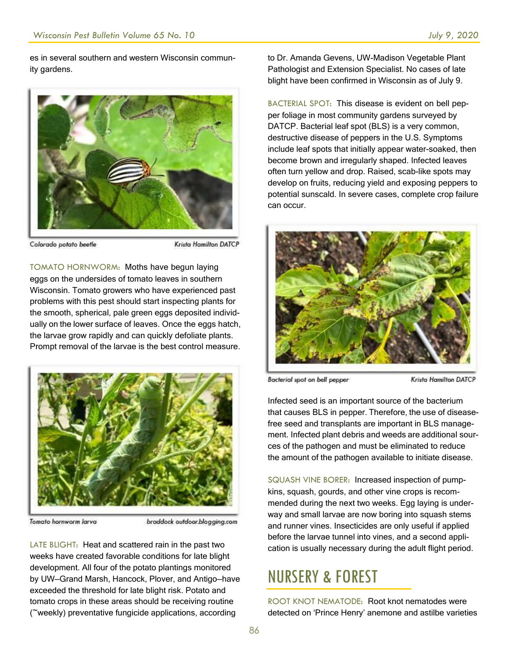es in several southern and western Wisconsin community gardens.



Colorado potato beetle

**Krista Hamilton DATCP** 

TOMATO HORNWORM: Moths have begun laying eggs on the undersides of tomato leaves in southern Wisconsin. Tomato growers who have experienced past problems with this pest should start inspecting plants for the smooth, spherical, pale green eggs deposited individually on the lower surface of leaves. Once the eggs hatch, the larvae grow rapidly and can quickly defoliate plants. Prompt removal of the larvae is the best control measure.



Tomato hornworm larva

braddock outdoor.blogging.com

LATE BLIGHT: Heat and scattered rain in the past two weeks have created favorable conditions for late blight development. All four of the potato plantings monitored by UW—Grand Marsh, Hancock, Plover, and Antigo—have exceeded the threshold for late blight risk. Potato and tomato crops in these areas should be receiving routine (~weekly) preventative fungicide applications, according

to Dr. Amanda Gevens, UW-Madison Vegetable Plant Pathologist and Extension Specialist. No cases of late blight have been confirmed in Wisconsin as of July 9.

BACTERIAL SPOT: This disease is evident on bell pepper foliage in most community gardens surveyed by DATCP. Bacterial leaf spot (BLS) is a very common, destructive disease of peppers in the U.S. Symptoms include leaf spots that initially appear water-soaked, then become brown and irregularly shaped. Infected leaves often turn yellow and drop. Raised, scab-like spots may develop on fruits, reducing yield and exposing peppers to potential sunscald. In severe cases, complete crop failure can occur.



Bacterial spot on bell pepper

**Krista Hamilton DATCP** 

Infected seed is an important source of the bacterium that causes BLS in pepper. Therefore, the use of diseasefree seed and transplants are important in BLS management. Infected plant debris and weeds are additional sources of the pathogen and must be eliminated to reduce the amount of the pathogen available to initiate disease.

SQUASH VINE BORER: Increased inspection of pumpkins, squash, gourds, and other vine crops is recommended during the next two weeks. Egg laying is underway and small larvae are now boring into squash stems and runner vines. Insecticides are only useful if applied before the larvae tunnel into vines, and a second application is usually necessary during the adult flight period.

#### NURSERY & FOREST

ROOT KNOT NEMATODE: Root knot nematodes were detected on 'Prince Henry' anemone and astilbe varieties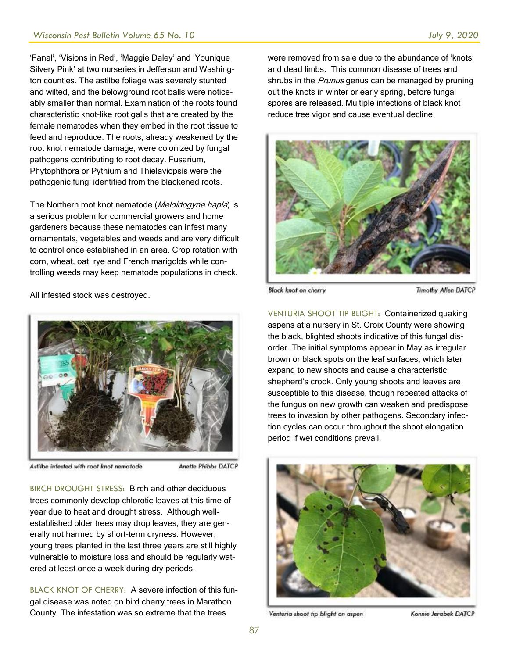'Fanal', 'Visions in Red', 'Maggie Daley' and 'Younique Silvery Pink' at two nurseries in Jefferson and Washington counties. The astilbe foliage was severely stunted and wilted, and the belowground root balls were noticeably smaller than normal. Examination of the roots found characteristic knot-like root galls that are created by the female nematodes when they embed in the root tissue to feed and reproduce. The roots, already weakened by the root knot nematode damage, were colonized by fungal pathogens contributing to root decay. Fusarium, Phytophthora or Pythium and Thielaviopsis were the pathogenic fungi identified from the blackened roots.

The Northern root knot nematode (Meloidogyne hapla) is a serious problem for commercial growers and home gardeners because these nematodes can infest many ornamentals, vegetables and weeds and are very difficult to control once established in an area. Crop rotation with corn, wheat, oat, rye and French marigolds while controlling weeds may keep nematode populations in check.

All infested stock was destroyed.



Astilbe infested with root knot nematode

Anette Phibbs DATCP

BIRCH DROUGHT STRESS: Birch and other deciduous trees commonly develop chlorotic leaves at this time of year due to heat and drought stress. Although wellestablished older trees may drop leaves, they are generally not harmed by short-term dryness. However, young trees planted in the last three years are still highly vulnerable to moisture loss and should be regularly watered at least once a week during dry periods.

BLACK KNOT OF CHERRY: A severe infection of this fungal disease was noted on bird cherry trees in Marathon County. The infestation was so extreme that the trees

were removed from sale due to the abundance of 'knots' and dead limbs. This common disease of trees and shrubs in the *Prunus* genus can be managed by pruning out the knots in winter or early spring, before fungal spores are released. Multiple infections of black knot reduce tree vigor and cause eventual decline.



**Black knot on cherry** 

**Timothy Allen DATCP** 

VENTURIA SHOOT TIP BLIGHT: Containerized quaking aspens at a nursery in St. Croix County were showing the black, blighted shoots indicative of this fungal disorder. The initial symptoms appear in May as irregular brown or black spots on the leaf surfaces, which later expand to new shoots and cause a characteristic shepherd's crook. Only young shoots and leaves are susceptible to this disease, though repeated attacks of the fungus on new growth can weaken and predispose trees to invasion by other pathogens. Secondary infection cycles can occur throughout the shoot elongation period if wet conditions prevail.



Venturia shoot tip blight on aspen

Konnie Jerabek DATCP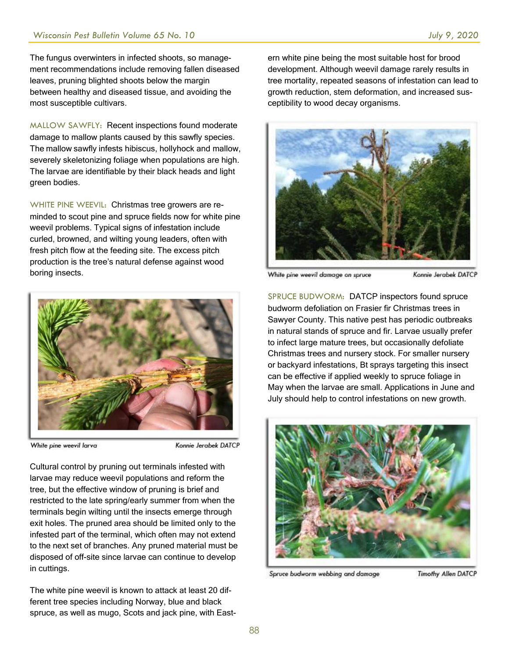The fungus overwinters in infected shoots, so management recommendations include removing fallen diseased leaves, pruning blighted shoots below the margin between healthy and diseased tissue, and avoiding the most susceptible cultivars.

MALLOW SAWFLY: Recent inspections found moderate damage to mallow plants caused by this sawfly species. The mallow sawfly infests hibiscus, hollyhock and mallow, severely skeletonizing foliage when populations are high. The larvae are identifiable by their black heads and light green bodies.

WHITE PINE WEEVIL: Christmas tree growers are reminded to scout pine and spruce fields now for white pine weevil problems. Typical signs of infestation include curled, browned, and wilting young leaders, often with fresh pitch flow at the feeding site. The excess pitch production is the tree's natural defense against wood boring insects.



White pine weevil larva

Konnie Jerabek DATCP

Cultural control by pruning out terminals infested with larvae may reduce weevil populations and reform the tree, but the effective window of pruning is brief and restricted to the late spring/early summer from when the terminals begin wilting until the insects emerge through exit holes. The pruned area should be limited only to the infested part of the terminal, which often may not extend to the next set of branches. Any pruned material must be disposed of off-site since larvae can continue to develop in cuttings.

The white pine weevil is known to attack at least 20 different tree species including Norway, blue and black spruce, as well as mugo, Scots and jack pine, with Eastern white pine being the most suitable host for brood development. Although weevil damage rarely results in tree mortality, repeated seasons of infestation can lead to growth reduction, stem deformation, and increased susceptibility to wood decay organisms.



White pine weevil damage on spruce

Konnie Jerabek DATCP

SPRUCE BUDWORM: DATCP inspectors found spruce budworm defoliation on Frasier fir Christmas trees in Sawyer County. This native pest has periodic outbreaks in natural stands of spruce and fir. Larvae usually prefer to infect large mature trees, but occasionally defoliate Christmas trees and nursery stock. For smaller nursery or backyard infestations, Bt sprays targeting this insect can be effective if applied weekly to spruce foliage in May when the larvae are small. Applications in June and July should help to control infestations on new growth.



Spruce budworm webbing and damage

**Timothy Allen DATCP**